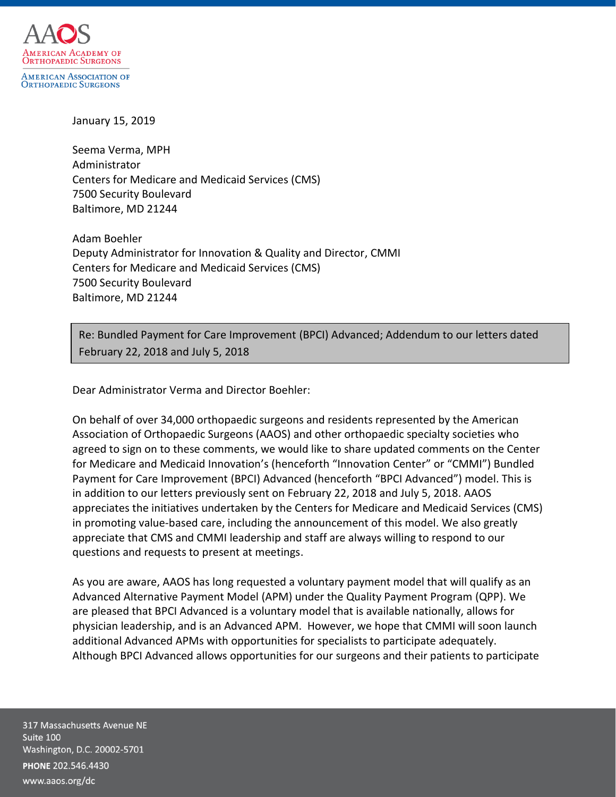

January 15, 2019

Seema Verma, MPH Administrator Centers for Medicare and Medicaid Services (CMS) 7500 Security Boulevard Baltimore, MD 21244

Adam Boehler Deputy Administrator for Innovation & Quality and Director, CMMI Centers for Medicare and Medicaid Services (CMS) 7500 Security Boulevard Baltimore, MD 21244

Re: Bundled Payment for Care Improvement (BPCI) Advanced; Addendum to our letters dated February 22, 2018 and July 5, 2018

Dear Administrator Verma and Director Boehler:

On behalf of over 34,000 orthopaedic surgeons and residents represented by the American Association of Orthopaedic Surgeons (AAOS) and other orthopaedic specialty societies who agreed to sign on to these comments, we would like to share updated comments on the Center for Medicare and Medicaid Innovation's (henceforth "Innovation Center" or "CMMI") Bundled Payment for Care Improvement (BPCI) Advanced (henceforth "BPCI Advanced") model. This is in addition to our letters previously sent on February 22, 2018 and July 5, 2018. AAOS appreciates the initiatives undertaken by the Centers for Medicare and Medicaid Services (CMS) in promoting value-based care, including the announcement of this model. We also greatly appreciate that CMS and CMMI leadership and staff are always willing to respond to our questions and requests to present at meetings.

As you are aware, AAOS has long requested a voluntary payment model that will qualify as an Advanced Alternative Payment Model (APM) under the Quality Payment Program (QPP). We are pleased that BPCI Advanced is a voluntary model that is available nationally, allows for physician leadership, and is an Advanced APM. However, we hope that CMMI will soon launch additional Advanced APMs with opportunities for specialists to participate adequately. Although BPCI Advanced allows opportunities for our surgeons and their patients to participate

317 Massachusetts Avenue NE Suite 100 Washington, D.C. 20002-5701 PHONE 202.546.4430 www.aaos.org/dc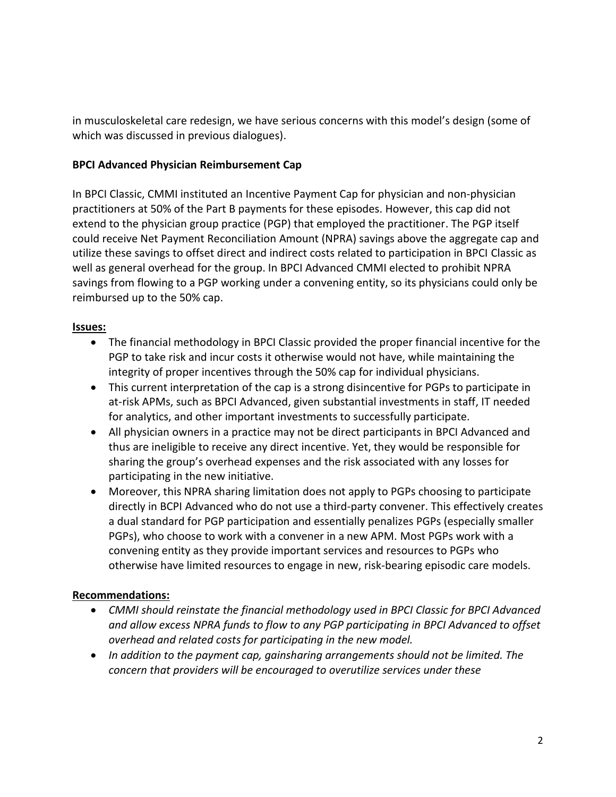in musculoskeletal care redesign, we have serious concerns with this model's design (some of which was discussed in previous dialogues).

# **BPCI Advanced Physician Reimbursement Cap**

In BPCI Classic, CMMI instituted an Incentive Payment Cap for physician and non-physician practitioners at 50% of the Part B payments for these episodes. However, this cap did not extend to the physician group practice (PGP) that employed the practitioner. The PGP itself could receive Net Payment Reconciliation Amount (NPRA) savings above the aggregate cap and utilize these savings to offset direct and indirect costs related to participation in BPCI Classic as well as general overhead for the group. In BPCI Advanced CMMI elected to prohibit NPRA savings from flowing to a PGP working under a convening entity, so its physicians could only be reimbursed up to the 50% cap.

# **Issues:**

- The financial methodology in BPCI Classic provided the proper financial incentive for the PGP to take risk and incur costs it otherwise would not have, while maintaining the integrity of proper incentives through the 50% cap for individual physicians.
- This current interpretation of the cap is a strong disincentive for PGPs to participate in at-risk APMs, such as BPCI Advanced, given substantial investments in staff, IT needed for analytics, and other important investments to successfully participate.
- All physician owners in a practice may not be direct participants in BPCI Advanced and thus are ineligible to receive any direct incentive. Yet, they would be responsible for sharing the group's overhead expenses and the risk associated with any losses for participating in the new initiative.
- Moreover, this NPRA sharing limitation does not apply to PGPs choosing to participate directly in BCPI Advanced who do not use a third-party convener. This effectively creates a dual standard for PGP participation and essentially penalizes PGPs (especially smaller PGPs), who choose to work with a convener in a new APM. Most PGPs work with a convening entity as they provide important services and resources to PGPs who otherwise have limited resources to engage in new, risk-bearing episodic care models.

# **Recommendations:**

- *CMMI should reinstate the financial methodology used in BPCI Classic for BPCI Advanced and allow excess NPRA funds to flow to any PGP participating in BPCI Advanced to offset overhead and related costs for participating in the new model.*
- *In addition to the payment cap, gainsharing arrangements should not be limited. The concern that providers will be encouraged to overutilize services under these*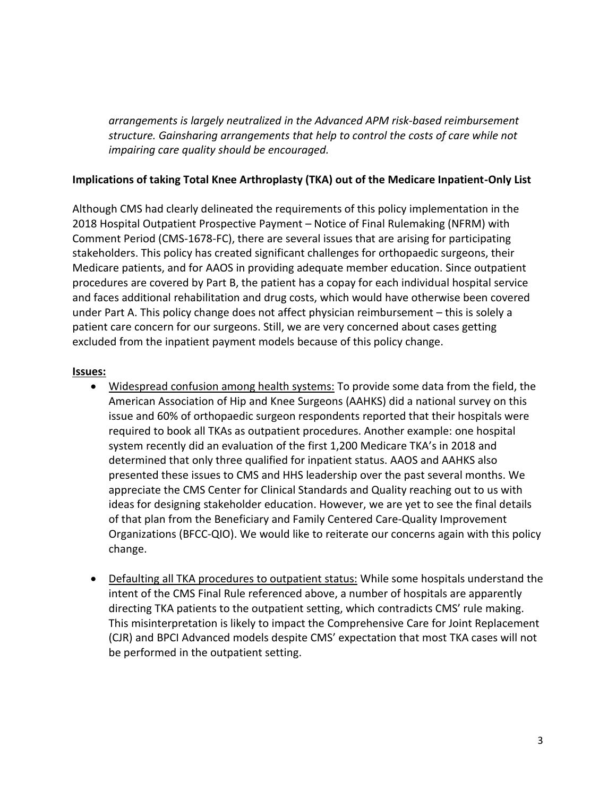*arrangements is largely neutralized in the Advanced APM risk-based reimbursement structure. Gainsharing arrangements that help to control the costs of care while not impairing care quality should be encouraged.* 

### **Implications of taking Total Knee Arthroplasty (TKA) out of the Medicare Inpatient-Only List**

Although CMS had clearly delineated the requirements of this policy implementation in the 2018 Hospital Outpatient Prospective Payment – Notice of Final Rulemaking (NFRM) with Comment Period (CMS-1678-FC), there are several issues that are arising for participating stakeholders. This policy has created significant challenges for orthopaedic surgeons, their Medicare patients, and for AAOS in providing adequate member education. Since outpatient procedures are covered by Part B, the patient has a copay for each individual hospital service and faces additional rehabilitation and drug costs, which would have otherwise been covered under Part A. This policy change does not affect physician reimbursement – this is solely a patient care concern for our surgeons. Still, we are very concerned about cases getting excluded from the inpatient payment models because of this policy change.

#### **Issues:**

- Widespread confusion among health systems: To provide some data from the field, the American Association of Hip and Knee Surgeons (AAHKS) did a national survey on this issue and 60% of orthopaedic surgeon respondents reported that their hospitals were required to book all TKAs as outpatient procedures. Another example: one hospital system recently did an evaluation of the first 1,200 Medicare TKA's in 2018 and determined that only three qualified for inpatient status. AAOS and AAHKS also presented these issues to CMS and HHS leadership over the past several months. We appreciate the CMS Center for Clinical Standards and Quality reaching out to us with ideas for designing stakeholder education. However, we are yet to see the final details of that plan from the Beneficiary and Family Centered Care-Quality Improvement Organizations (BFCC-QIO). We would like to reiterate our concerns again with this policy change.
- Defaulting all TKA procedures to outpatient status: While some hospitals understand the intent of the CMS Final Rule referenced above, a number of hospitals are apparently directing TKA patients to the outpatient setting, which contradicts CMS' rule making. This misinterpretation is likely to impact the Comprehensive Care for Joint Replacement (CJR) and BPCI Advanced models despite CMS' expectation that most TKA cases will not be performed in the outpatient setting.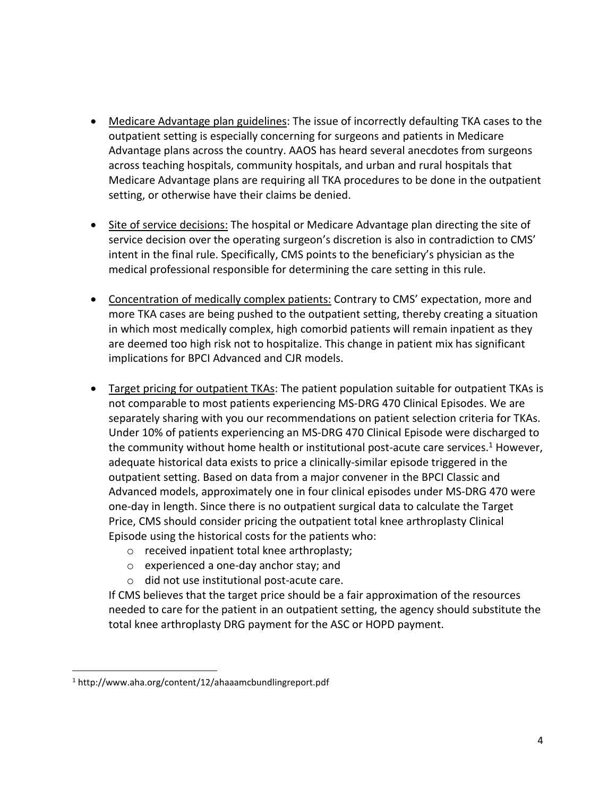- Medicare Advantage plan guidelines: The issue of incorrectly defaulting TKA cases to the outpatient setting is especially concerning for surgeons and patients in Medicare Advantage plans across the country. AAOS has heard several anecdotes from surgeons across teaching hospitals, community hospitals, and urban and rural hospitals that Medicare Advantage plans are requiring all TKA procedures to be done in the outpatient setting, or otherwise have their claims be denied.
- Site of service decisions: The hospital or Medicare Advantage plan directing the site of service decision over the operating surgeon's discretion is also in contradiction to CMS' intent in the final rule. Specifically, CMS points to the beneficiary's physician as the medical professional responsible for determining the care setting in this rule.
- Concentration of medically complex patients: Contrary to CMS' expectation, more and more TKA cases are being pushed to the outpatient setting, thereby creating a situation in which most medically complex, high comorbid patients will remain inpatient as they are deemed too high risk not to hospitalize. This change in patient mix has significant implications for BPCI Advanced and CJR models.
- Target pricing for outpatient TKAs: The patient population suitable for outpatient TKAs is not comparable to most patients experiencing MS-DRG 470 Clinical Episodes. We are separately sharing with you our recommendations on patient selection criteria for TKAs. Under 10% of patients experiencing an MS-DRG 470 Clinical Episode were discharged to the community without home health or institutional post-acute care services.<sup>1</sup> However, adequate historical data exists to price a clinically-similar episode triggered in the outpatient setting. Based on data from a major convener in the BPCI Classic and Advanced models, approximately one in four clinical episodes under MS-DRG 470 were one-day in length. Since there is no outpatient surgical data to calculate the Target Price, CMS should consider pricing the outpatient total knee arthroplasty Clinical Episode using the historical costs for the patients who:
	- o received inpatient total knee arthroplasty;
	- o experienced a one-day anchor stay; and
	- o did not use institutional post-acute care.

If CMS believes that the target price should be a fair approximation of the resources needed to care for the patient in an outpatient setting, the agency should substitute the total knee arthroplasty DRG payment for the ASC or HOPD payment.

 $\overline{\phantom{a}}$ 

<sup>1</sup> http://www.aha.org/content/12/ahaaamcbundlingreport.pdf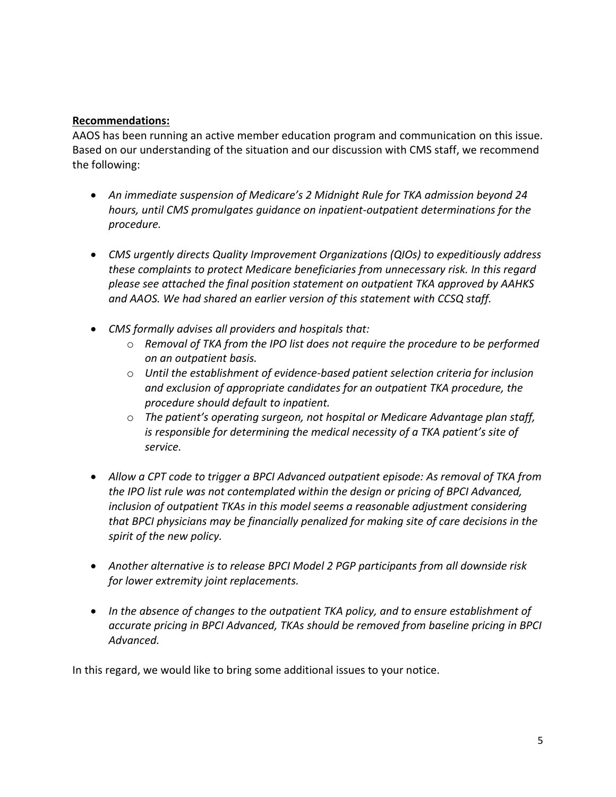#### **Recommendations:**

AAOS has been running an active member education program and communication on this issue. Based on our understanding of the situation and our discussion with CMS staff, we recommend the following:

- *An immediate suspension of Medicare's 2 Midnight Rule for TKA admission beyond 24 hours, until CMS promulgates guidance on inpatient-outpatient determinations for the procedure.*
- *CMS urgently directs Quality Improvement Organizations (QIOs) to expeditiously address these complaints to protect Medicare beneficiaries from unnecessary risk. In this regard please see attached the final position statement on outpatient TKA approved by AAHKS and AAOS. We had shared an earlier version of this statement with CCSQ staff.*
- *CMS formally advises all providers and hospitals that:*
	- o *Removal of TKA from the IPO list does not require the procedure to be performed on an outpatient basis.*
	- o *Until the establishment of evidence-based patient selection criteria for inclusion and exclusion of appropriate candidates for an outpatient TKA procedure, the procedure should default to inpatient.*
	- o *The patient's operating surgeon, not hospital or Medicare Advantage plan staff, is responsible for determining the medical necessity of a TKA patient's site of service.*
- *Allow a CPT code to trigger a BPCI Advanced outpatient episode: As removal of TKA from the IPO list rule was not contemplated within the design or pricing of BPCI Advanced, inclusion of outpatient TKAs in this model seems a reasonable adjustment considering that BPCI physicians may be financially penalized for making site of care decisions in the spirit of the new policy.*
- *Another alternative is to release BPCI Model 2 PGP participants from all downside risk for lower extremity joint replacements.*
- *In the absence of changes to the outpatient TKA policy, and to ensure establishment of accurate pricing in BPCI Advanced, TKAs should be removed from baseline pricing in BPCI Advanced.*

In this regard, we would like to bring some additional issues to your notice.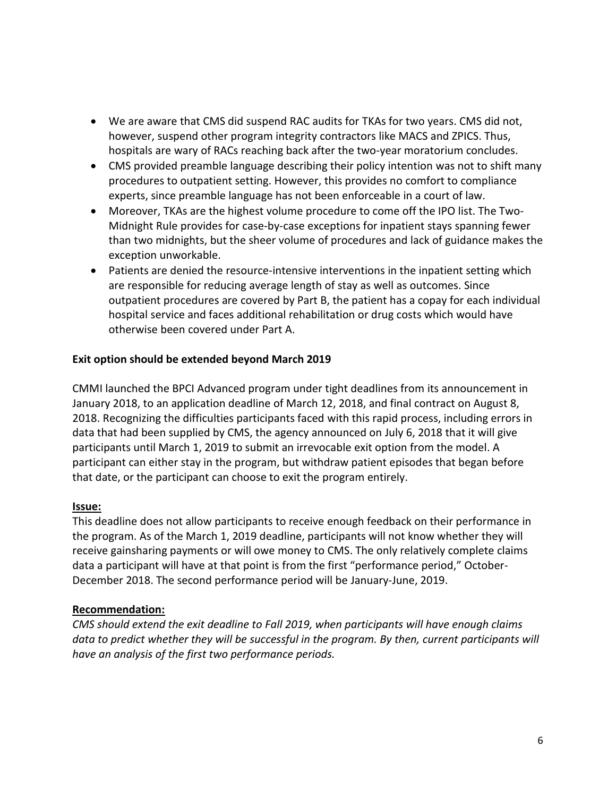- We are aware that CMS did suspend RAC audits for TKAs for two years. CMS did not, however, suspend other program integrity contractors like MACS and ZPICS. Thus, hospitals are wary of RACs reaching back after the two-year moratorium concludes.
- CMS provided preamble language describing their policy intention was not to shift many procedures to outpatient setting. However, this provides no comfort to compliance experts, since preamble language has not been enforceable in a court of law.
- Moreover, TKAs are the highest volume procedure to come off the IPO list. The Two-Midnight Rule provides for case-by-case exceptions for inpatient stays spanning fewer than two midnights, but the sheer volume of procedures and lack of guidance makes the exception unworkable.
- Patients are denied the resource-intensive interventions in the inpatient setting which are responsible for reducing average length of stay as well as outcomes. Since outpatient procedures are covered by Part B, the patient has a copay for each individual hospital service and faces additional rehabilitation or drug costs which would have otherwise been covered under Part A.

# **Exit option should be extended beyond March 2019**

CMMI launched the BPCI Advanced program under tight deadlines from its announcement in January 2018, to an application deadline of March 12, 2018, and final contract on August 8, 2018. Recognizing the difficulties participants faced with this rapid process, including errors in data that had been supplied by CMS, the agency announced on July 6, 2018 that it will give participants until March 1, 2019 to submit an irrevocable exit option from the model. A participant can either stay in the program, but withdraw patient episodes that began before that date, or the participant can choose to exit the program entirely.

# **Issue:**

This deadline does not allow participants to receive enough feedback on their performance in the program. As of the March 1, 2019 deadline, participants will not know whether they will receive gainsharing payments or will owe money to CMS. The only relatively complete claims data a participant will have at that point is from the first "performance period," October-December 2018. The second performance period will be January-June, 2019.

#### **Recommendation:**

*CMS should extend the exit deadline to Fall 2019, when participants will have enough claims data to predict whether they will be successful in the program. By then, current participants will have an analysis of the first two performance periods.*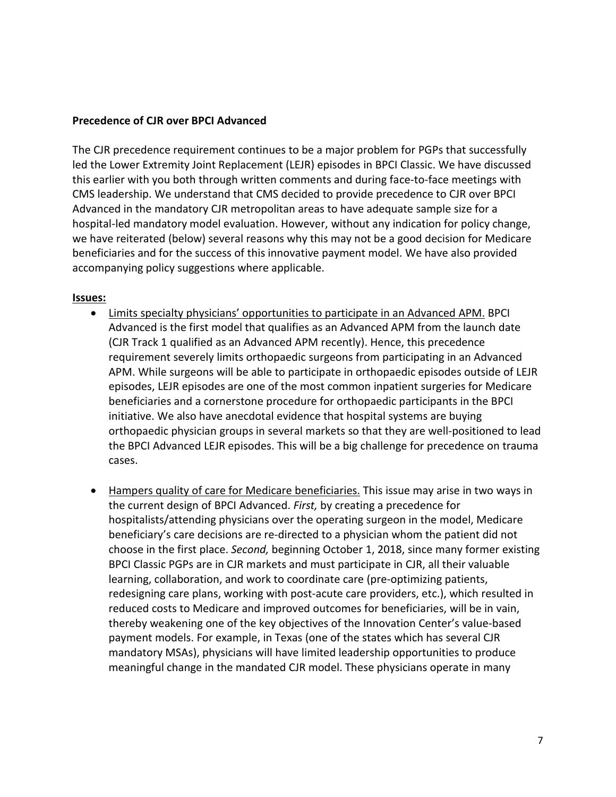#### **Precedence of CJR over BPCI Advanced**

The CJR precedence requirement continues to be a major problem for PGPs that successfully led the Lower Extremity Joint Replacement (LEJR) episodes in BPCI Classic. We have discussed this earlier with you both through written comments and during face-to-face meetings with CMS leadership. We understand that CMS decided to provide precedence to CJR over BPCI Advanced in the mandatory CJR metropolitan areas to have adequate sample size for a hospital-led mandatory model evaluation. However, without any indication for policy change, we have reiterated (below) several reasons why this may not be a good decision for Medicare beneficiaries and for the success of this innovative payment model. We have also provided accompanying policy suggestions where applicable.

#### **Issues:**

- Limits specialty physicians' opportunities to participate in an Advanced APM. BPCI Advanced is the first model that qualifies as an Advanced APM from the launch date (CJR Track 1 qualified as an Advanced APM recently). Hence, this precedence requirement severely limits orthopaedic surgeons from participating in an Advanced APM. While surgeons will be able to participate in orthopaedic episodes outside of LEJR episodes, LEJR episodes are one of the most common inpatient surgeries for Medicare beneficiaries and a cornerstone procedure for orthopaedic participants in the BPCI initiative. We also have anecdotal evidence that hospital systems are buying orthopaedic physician groups in several markets so that they are well-positioned to lead the BPCI Advanced LEJR episodes. This will be a big challenge for precedence on trauma cases.
- Hampers quality of care for Medicare beneficiaries. This issue may arise in two ways in the current design of BPCI Advanced. *First,* by creating a precedence for hospitalists/attending physicians over the operating surgeon in the model, Medicare beneficiary's care decisions are re-directed to a physician whom the patient did not choose in the first place. *Second,* beginning October 1, 2018, since many former existing BPCI Classic PGPs are in CJR markets and must participate in CJR, all their valuable learning, collaboration, and work to coordinate care (pre-optimizing patients, redesigning care plans, working with post-acute care providers, etc.), which resulted in reduced costs to Medicare and improved outcomes for beneficiaries, will be in vain, thereby weakening one of the key objectives of the Innovation Center's value-based payment models. For example, in Texas (one of the states which has several CJR mandatory MSAs), physicians will have limited leadership opportunities to produce meaningful change in the mandated CJR model. These physicians operate in many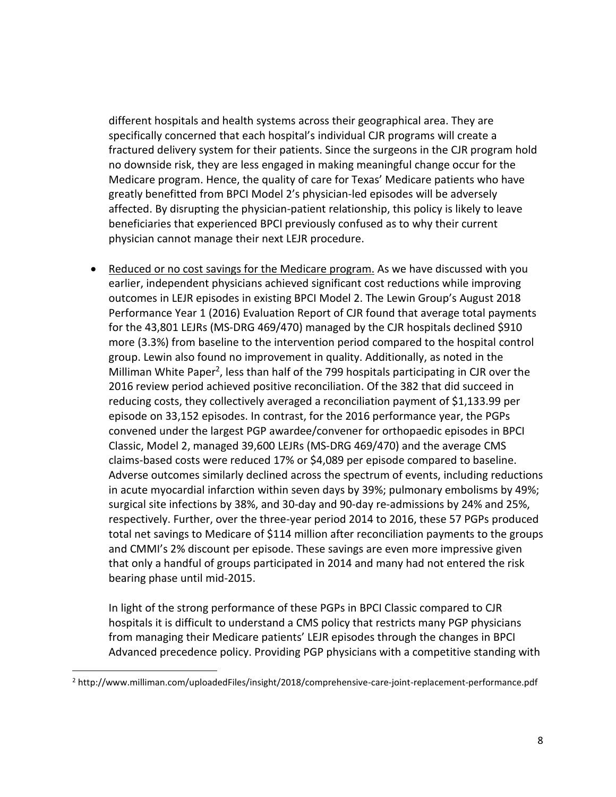different hospitals and health systems across their geographical area. They are specifically concerned that each hospital's individual CJR programs will create a fractured delivery system for their patients. Since the surgeons in the CJR program hold no downside risk, they are less engaged in making meaningful change occur for the Medicare program. Hence, the quality of care for Texas' Medicare patients who have greatly benefitted from BPCI Model 2's physician-led episodes will be adversely affected. By disrupting the physician-patient relationship, this policy is likely to leave beneficiaries that experienced BPCI previously confused as to why their current physician cannot manage their next LEJR procedure.

• Reduced or no cost savings for the Medicare program. As we have discussed with you earlier, independent physicians achieved significant cost reductions while improving outcomes in LEJR episodes in existing BPCI Model 2. The Lewin Group's August 2018 Performance Year 1 (2016) Evaluation Report of CJR found that average total payments for the 43,801 LEJRs (MS-DRG 469/470) managed by the CJR hospitals declined \$910 more (3.3%) from baseline to the intervention period compared to the hospital control group. Lewin also found no improvement in quality. Additionally, as noted in the Milliman White Paper<sup>2</sup>, less than half of the 799 hospitals participating in CJR over the 2016 review period achieved positive reconciliation. Of the 382 that did succeed in reducing costs, they collectively averaged a reconciliation payment of \$1,133.99 per episode on 33,152 episodes. In contrast, for the 2016 performance year, the PGPs convened under the largest PGP awardee/convener for orthopaedic episodes in BPCI Classic, Model 2, managed 39,600 LEJRs (MS-DRG 469/470) and the average CMS claims-based costs were reduced 17% or \$4,089 per episode compared to baseline. Adverse outcomes similarly declined across the spectrum of events, including reductions in acute myocardial infarction within seven days by 39%; pulmonary embolisms by 49%; surgical site infections by 38%, and 30-day and 90-day re-admissions by 24% and 25%, respectively. Further, over the three-year period 2014 to 2016, these 57 PGPs produced total net savings to Medicare of \$114 million after reconciliation payments to the groups and CMMI's 2% discount per episode. These savings are even more impressive given that only a handful of groups participated in 2014 and many had not entered the risk bearing phase until mid-2015.

In light of the strong performance of these PGPs in BPCI Classic compared to CJR hospitals it is difficult to understand a CMS policy that restricts many PGP physicians from managing their Medicare patients' LEJR episodes through the changes in BPCI Advanced precedence policy. Providing PGP physicians with a competitive standing with

 $\overline{\phantom{a}}$ 

<sup>2</sup> http://www.milliman.com/uploadedFiles/insight/2018/comprehensive-care-joint-replacement-performance.pdf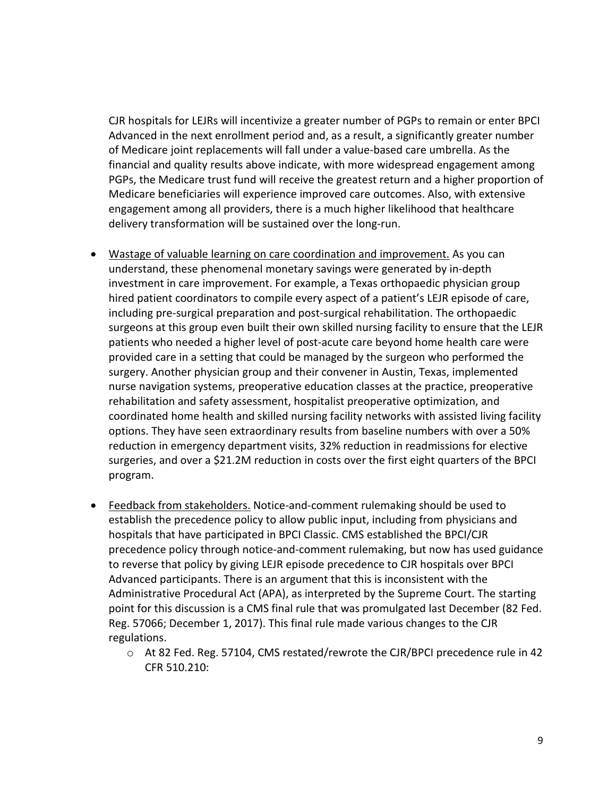CJR hospitals for LEJRs will incentivize a greater number of PGPs to remain or enter BPCI Advanced in the next enrollment period and, as a result, a significantly greater number of Medicare joint replacements will fall under a value-based care umbrella. As the financial and quality results above indicate, with more widespread engagement among PGPs, the Medicare trust fund will receive the greatest return and a higher proportion of Medicare beneficiaries will experience improved care outcomes. Also, with extensive engagement among all providers, there is a much higher likelihood that healthcare delivery transformation will be sustained over the long-run.

- Wastage of valuable learning on care coordination and improvement. As you can understand, these phenomenal monetary savings were generated by in-depth investment in care improvement. For example, a Texas orthopaedic physician group hired patient coordinators to compile every aspect of a patient's LEJR episode of care, including pre-surgical preparation and post-surgical rehabilitation. The orthopaedic surgeons at this group even built their own skilled nursing facility to ensure that the LEJR patients who needed a higher level of post-acute care beyond home health care were provided care in a setting that could be managed by the surgeon who performed the surgery. Another physician group and their convener in Austin, Texas, implemented nurse navigation systems, preoperative education classes at the practice, preoperative rehabilitation and safety assessment, hospitalist preoperative optimization, and coordinated home health and skilled nursing facility networks with assisted living facility options. They have seen extraordinary results from baseline numbers with over a 50% reduction in emergency department visits, 32% reduction in readmissions for elective surgeries, and over a \$21.2M reduction in costs over the first eight quarters of the BPCI program.
- Feedback from stakeholders. Notice-and-comment rulemaking should be used to establish the precedence policy to allow public input, including from physicians and hospitals that have participated in BPCI Classic. CMS established the BPCI/CJR precedence policy through notice-and-comment rulemaking, but now has used guidance to reverse that policy by giving LEJR episode precedence to CJR hospitals over BPCI Advanced participants. There is an argument that this is inconsistent with the Administrative Procedural Act (APA), as interpreted by the Supreme Court. The starting point for this discussion is a CMS final rule that was promulgated last December (82 Fed. Reg. 57066; December 1, 2017). This final rule made various changes to the CJR regulations.
	- o At 82 Fed. Reg. 57104, CMS restated/rewrote the CJR/BPCI precedence rule in 42 CFR 510.210: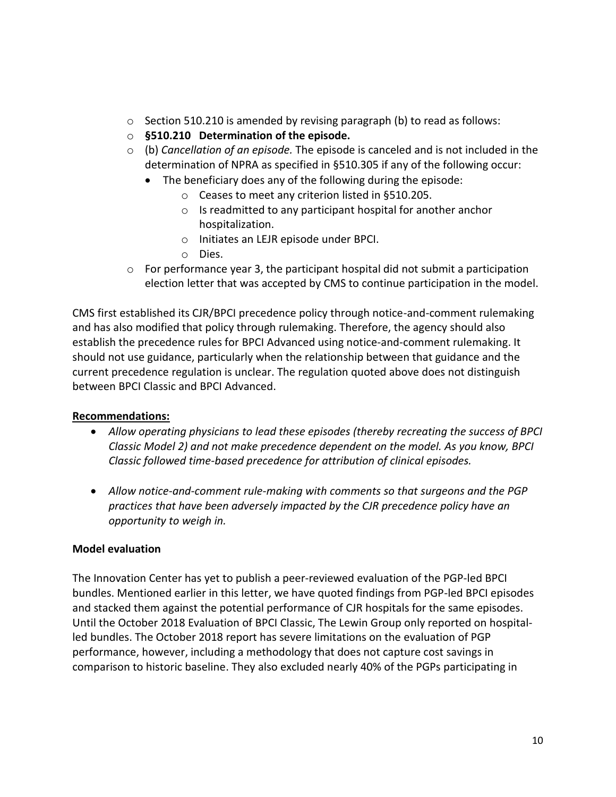- o Section 510.210 is amended by revising paragraph (b) to read as follows:
- o **§510.210 Determination of the episode.**
- o (b) *Cancellation of an episode.* The episode is canceled and is not included in the determination of NPRA as specified in §510.305 if any of the following occur:
	- The beneficiary does any of the following during the episode:
		- o Ceases to meet any criterion listed in §510.205.
		- o Is readmitted to any participant hospital for another anchor hospitalization.
		- o Initiates an LEJR episode under BPCI.
		- o Dies.
- $\circ$  For performance year 3, the participant hospital did not submit a participation election letter that was accepted by CMS to continue participation in the model.

CMS first established its CJR/BPCI precedence policy through notice-and-comment rulemaking and has also modified that policy through rulemaking. Therefore, the agency should also establish the precedence rules for BPCI Advanced using notice-and-comment rulemaking. It should not use guidance, particularly when the relationship between that guidance and the current precedence regulation is unclear. The regulation quoted above does not distinguish between BPCI Classic and BPCI Advanced.

#### **Recommendations:**

- *Allow operating physicians to lead these episodes (thereby recreating the success of BPCI Classic Model 2) and not make precedence dependent on the model. As you know, BPCI Classic followed time-based precedence for attribution of clinical episodes.*
- *Allow notice-and-comment rule-making with comments so that surgeons and the PGP practices that have been adversely impacted by the CJR precedence policy have an opportunity to weigh in.*

#### **Model evaluation**

The Innovation Center has yet to publish a peer-reviewed evaluation of the PGP-led BPCI bundles. Mentioned earlier in this letter, we have quoted findings from PGP-led BPCI episodes and stacked them against the potential performance of CJR hospitals for the same episodes. Until the October 2018 Evaluation of BPCI Classic, The Lewin Group only reported on hospitalled bundles. The October 2018 report has severe limitations on the evaluation of PGP performance, however, including a methodology that does not capture cost savings in comparison to historic baseline. They also excluded nearly 40% of the PGPs participating in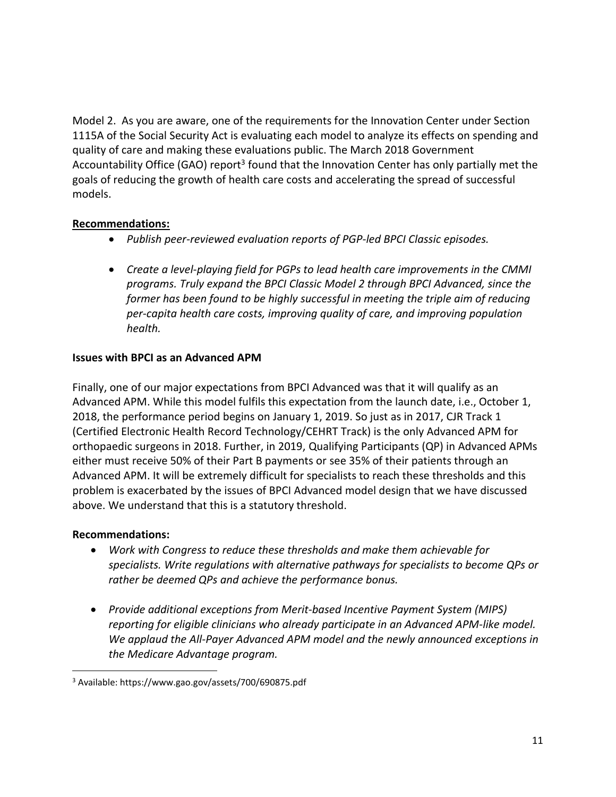Model 2. As you are aware, one of the requirements for the Innovation Center under Section 1115A of the Social Security Act is evaluating each model to analyze its effects on spending and quality of care and making these evaluations public. The March 2018 Government Accountability Office (GAO) report<sup>3</sup> found that the Innovation Center has only partially met the goals of reducing the growth of health care costs and accelerating the spread of successful models.

### **Recommendations:**

- *Publish peer-reviewed evaluation reports of PGP-led BPCI Classic episodes.*
- *Create a level-playing field for PGPs to lead health care improvements in the CMMI programs. Truly expand the BPCI Classic Model 2 through BPCI Advanced, since the former has been found to be highly successful in meeting the triple aim of reducing per-capita health care costs, improving quality of care, and improving population health.*

### **Issues with BPCI as an Advanced APM**

Finally, one of our major expectations from BPCI Advanced was that it will qualify as an Advanced APM. While this model fulfils this expectation from the launch date, i.e., October 1, 2018, the performance period begins on January 1, 2019. So just as in 2017, CJR Track 1 (Certified Electronic Health Record Technology/CEHRT Track) is the only Advanced APM for orthopaedic surgeons in 2018. Further, in 2019, Qualifying Participants (QP) in Advanced APMs either must receive 50% of their Part B payments or see 35% of their patients through an Advanced APM. It will be extremely difficult for specialists to reach these thresholds and this problem is exacerbated by the issues of BPCI Advanced model design that we have discussed above. We understand that this is a statutory threshold.

#### **Recommendations:**

 $\overline{\phantom{a}}$ 

- *Work with Congress to reduce these thresholds and make them achievable for specialists. Write regulations with alternative pathways for specialists to become QPs or rather be deemed QPs and achieve the performance bonus.*
- *Provide additional exceptions from Merit-based Incentive Payment System (MIPS) reporting for eligible clinicians who already participate in an Advanced APM-like model. We applaud the All-Payer Advanced APM model and the newly announced exceptions in the Medicare Advantage program.*

<sup>3</sup> Available: https://www.gao.gov/assets/700/690875.pdf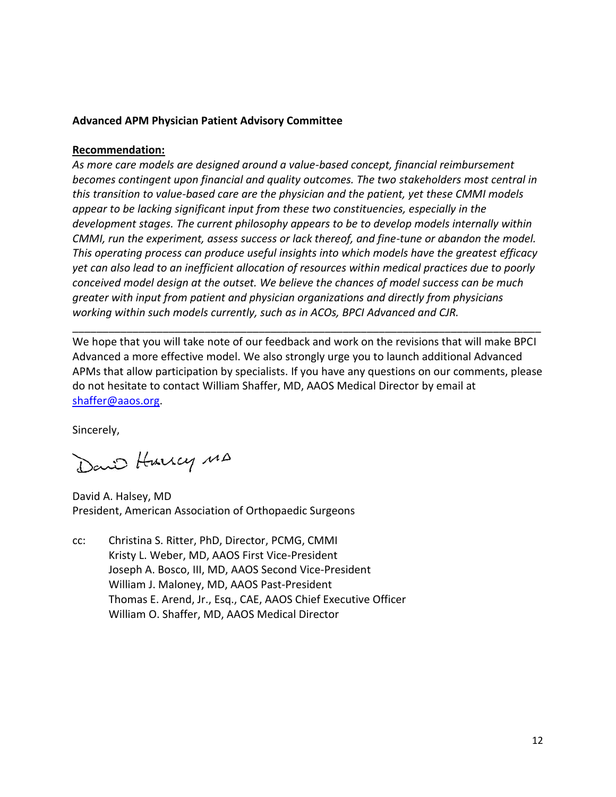### **Advanced APM Physician Patient Advisory Committee**

#### **Recommendation:**

*As more care models are designed around a value-based concept, financial reimbursement becomes contingent upon financial and quality outcomes. The two stakeholders most central in this transition to value-based care are the physician and the patient, yet these CMMI models appear to be lacking significant input from these two constituencies, especially in the development stages. The current philosophy appears to be to develop models internally within CMMI, run the experiment, assess success or lack thereof, and fine-tune or abandon the model. This operating process can produce useful insights into which models have the greatest efficacy yet can also lead to an inefficient allocation of resources within medical practices due to poorly conceived model design at the outset. We believe the chances of model success can be much greater with input from patient and physician organizations and directly from physicians working within such models currently, such as in ACOs, BPCI Advanced and CJR.*

We hope that you will take note of our feedback and work on the revisions that will make BPCI Advanced a more effective model. We also strongly urge you to launch additional Advanced APMs that allow participation by specialists. If you have any questions on our comments, please do not hesitate to contact William Shaffer, MD, AAOS Medical Director by email at [shaffer@aaos.org.](mailto:shaffer@aaos.org)

\_\_\_\_\_\_\_\_\_\_\_\_\_\_\_\_\_\_\_\_\_\_\_\_\_\_\_\_\_\_\_\_\_\_\_\_\_\_\_\_\_\_\_\_\_\_\_\_\_\_\_\_\_\_\_\_\_\_\_\_\_\_\_\_\_\_\_\_\_\_\_\_\_\_\_\_\_\_

Sincerely,

David Hurrey MA

David A. Halsey, MD President, American Association of Orthopaedic Surgeons

cc: Christina S. Ritter, PhD, Director, PCMG, CMMI Kristy L. Weber, MD, AAOS First Vice-President Joseph A. Bosco, III, MD, AAOS Second Vice-President William J. Maloney, MD, AAOS Past-President Thomas E. Arend, Jr., Esq., CAE, AAOS Chief Executive Officer William O. Shaffer, MD, AAOS Medical Director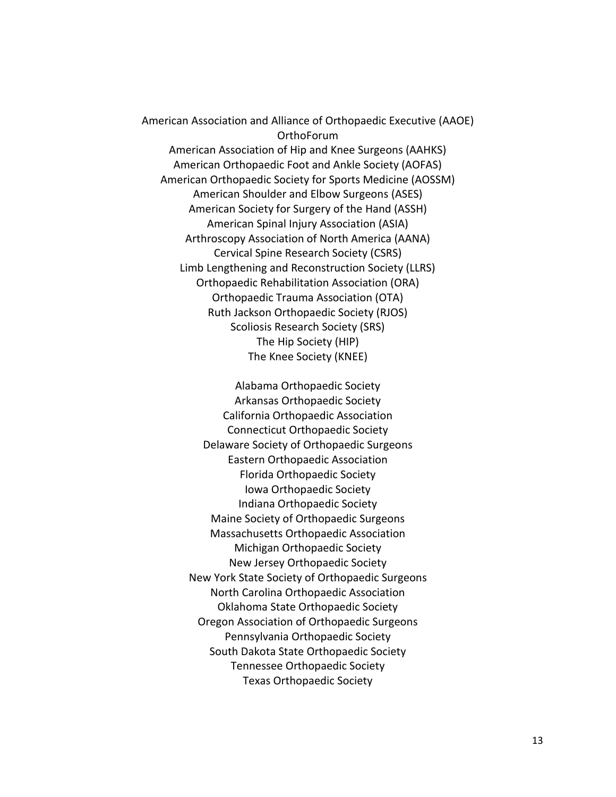American Association and Alliance of Orthopaedic Executive (AAOE) OrthoForum American Association of Hip and Knee Surgeons (AAHKS) American Orthopaedic Foot and Ankle Society (AOFAS) American Orthopaedic Society for Sports Medicine (AOSSM) American Shoulder and Elbow Surgeons (ASES) American Society for Surgery of the Hand (ASSH) American Spinal Injury Association (ASIA) Arthroscopy Association of North America (AANA) Cervical Spine Research Society (CSRS) Limb Lengthening and Reconstruction Society (LLRS) Orthopaedic Rehabilitation Association (ORA) Orthopaedic Trauma Association (OTA) Ruth Jackson Orthopaedic Society (RJOS) Scoliosis Research Society (SRS) The Hip Society (HIP) The Knee Society (KNEE)

> Alabama Orthopaedic Society Arkansas Orthopaedic Society California Orthopaedic Association Connecticut Orthopaedic Society Delaware Society of Orthopaedic Surgeons Eastern Orthopaedic Association Florida Orthopaedic Society Iowa Orthopaedic Society Indiana Orthopaedic Society Maine Society of Orthopaedic Surgeons Massachusetts Orthopaedic Association Michigan Orthopaedic Society New Jersey Orthopaedic Society New York State Society of Orthopaedic Surgeons North Carolina Orthopaedic Association Oklahoma State Orthopaedic Society Oregon Association of Orthopaedic Surgeons Pennsylvania Orthopaedic Society South Dakota State Orthopaedic Society Tennessee Orthopaedic Society Texas Orthopaedic Society